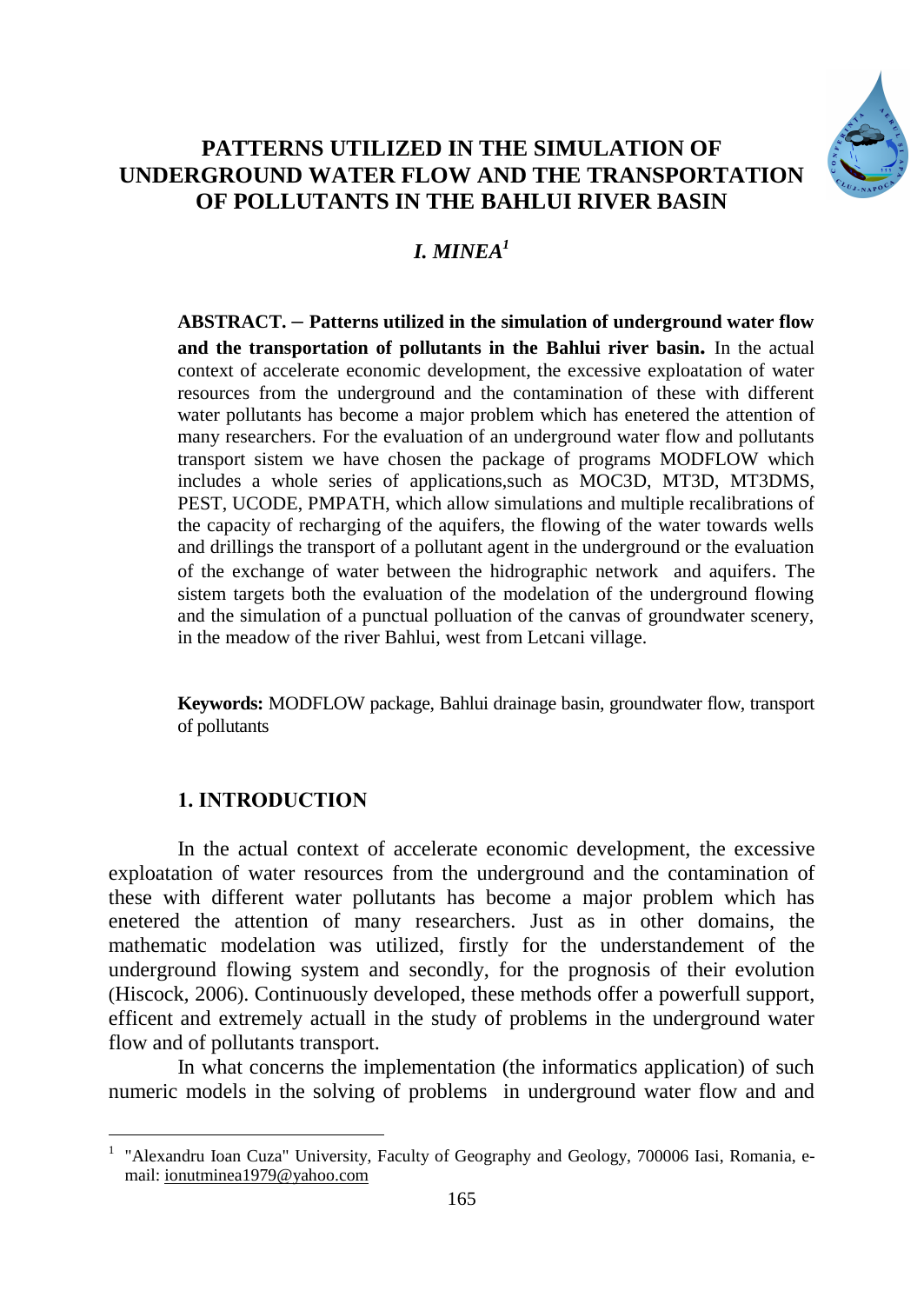

# **PATTERNS UTILIZED IN THE SIMULATION OF UNDERGROUND WATER FLOW AND THE TRANSPORTATION OF POLLUTANTS IN THE BAHLUI RIVER BASIN**

# *I. MINEA<sup>1</sup>*

**ABSTRACT. – Patterns utilized in the simulation of underground water flow and the transportation of pollutants in the Bahlui river basin.** In the actual context of accelerate economic development, the excessive exploatation of water resources from the underground and the contamination of these with different water pollutants has become a major problem which has enetered the attention of many researchers. For the evaluation of an underground water flow and pollutants transport sistem we have chosen the package of programs MODFLOW which includes a whole series of applications,such as MOC3D, MT3D, MT3DMS, PEST, UCODE, PMPATH, which allow simulations and multiple recalibrations of the capacity of recharging of the aquifers, the flowing of the water towards wells and drillings the transport of a pollutant agent in the underground or the evaluation of the exchange of water between the hidrographic network and aquifers. The sistem targets both the evaluation of the modelation of the underground flowing and the simulation of a punctual polluation of the canvas of groundwater scenery, in the meadow of the river Bahlui, west from Letcani village.

**Keywords:** MODFLOW package, Bahlui drainage basin, groundwater flow, transport of pollutants

## **1. INTRODUCTION**

 $\overline{a}$ 

In the actual context of accelerate economic development, the excessive exploatation of water resources from the underground and the contamination of these with different water pollutants has become a major problem which has enetered the attention of many researchers. Just as in other domains, the mathematic modelation was utilized, firstly for the understandement of the underground flowing system and secondly, for the prognosis of their evolution (Hiscock*,* 2006). Continuously developed, these methods offer a powerfull support, efficent and extremely actuall in the study of problems in the underground water flow and of pollutants transport.

In what concerns the implementation (the informatics application) of such numeric models in the solving of problems in underground water flow and and

<sup>&</sup>lt;sup>1</sup> "Alexandru Ioan Cuza" University, Faculty of Geography and Geology, 700006 Iasi, Romania, email: ionutminea1979@yahoo.com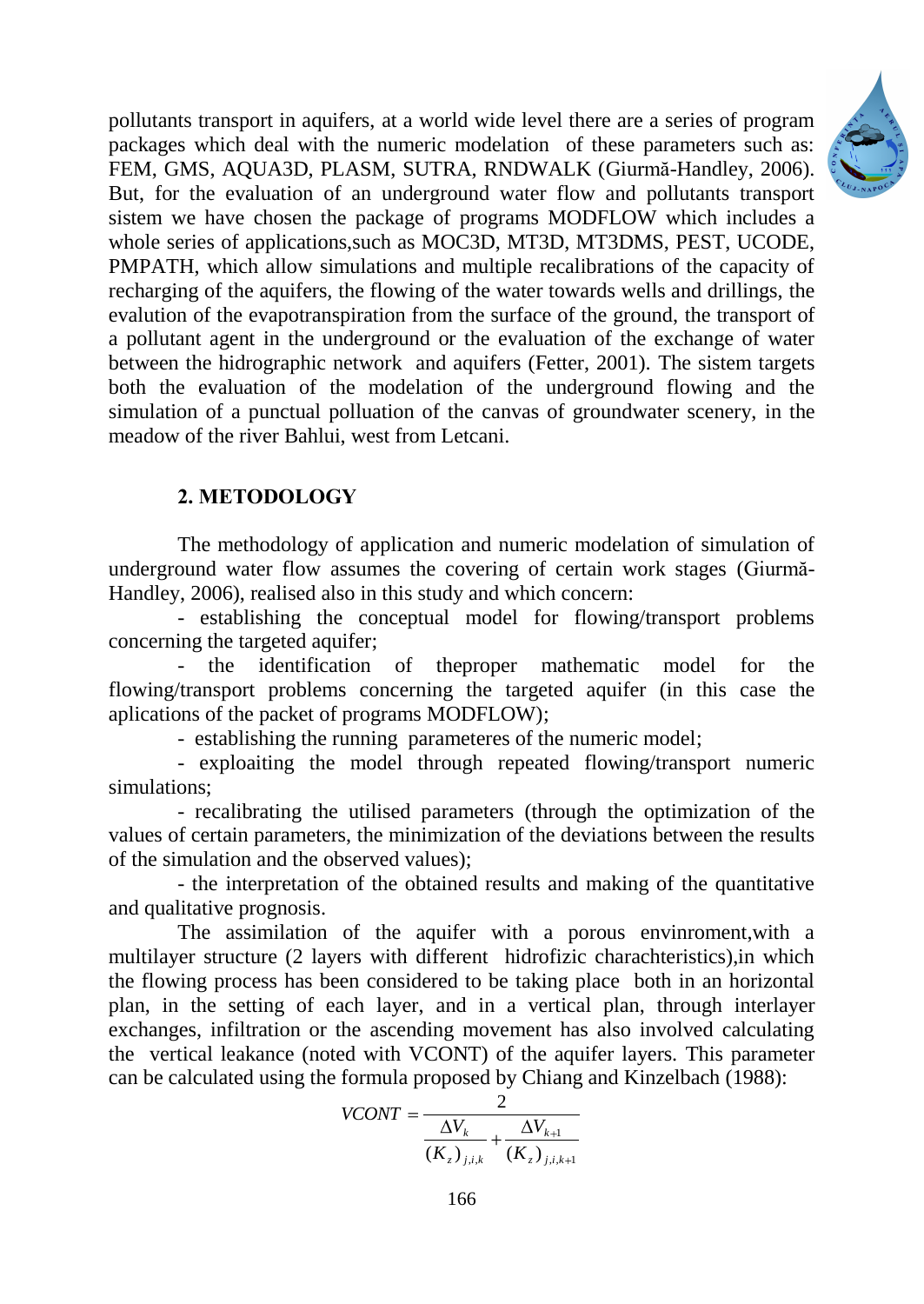

pollutants transport in aquifers, at a world wide level there are a series of program packages which deal with the numeric modelation of these parameters such as: FEM, GMS, AQUA3D, PLASM, SUTRA, RNDWALK (Giurmă-Handley, 2006). But, for the evaluation of an underground water flow and pollutants transport sistem we have chosen the package of programs MODFLOW which includes a whole series of applications, such as MOC3D, MT3D, MT3DMS, PEST, UCODE, PMPATH, which allow simulations and multiple recalibrations of the capacity of recharging of the aquifers, the flowing of the water towards wells and drillings, the evalution of the evapotranspiration from the surface of the ground, the transport of a pollutant agent in the underground or the evaluation of the exchange of water between the hidrographic network and aquifers (Fetter, 2001). The sistem targets both the evaluation of the modelation of the underground flowing and the simulation of a punctual polluation of the canvas of groundwater scenery, in the meadow of the river Bahlui, west from Letcani.

## **2. METODOLOGY**

The methodology of application and numeric modelation of simulation of underground water flow assumes the covering of certain work stages (Giurmă-Handley, 2006), realised also in this study and which concern:

- establishing the conceptual model for flowing/transport problems concerning the targeted aquifer;

- the identification of theproper mathematic model for the flowing/transport problems concerning the targeted aquifer (in this case the aplications of the packet of programs MODFLOW);

- establishing the running parameteres of the numeric model;

- exploaiting the model through repeated flowing/transport numeric simulations;

- recalibrating the utilised parameters (through the optimization of the values of certain parameters, the minimization of the deviations between the results of the simulation and the observed values);

- the interpretation of the obtained results and making of the quantitative and qualitative prognosis.

The assimilation of the aquifer with a porous envinroment,with a multilayer structure (2 layers with different hidrofizic charachteristics),in which the flowing process has been considered to be taking place both in an horizontal plan, in the setting of each layer, and in a vertical plan, through interlayer exchanges, infiltration or the ascending movement has also involved calculating the vertical leakance (noted with VCONT) of the aquifer layers. This parameter can be calculated using the formula proposed by Chiang and Kinzelbach (1988):

$$
VCONT = \frac{2}{\frac{\Delta V_k}{(K_z)_{j,i,k}} + \frac{\Delta V_{k+1}}{(K_z)_{j,i,k+1}}}
$$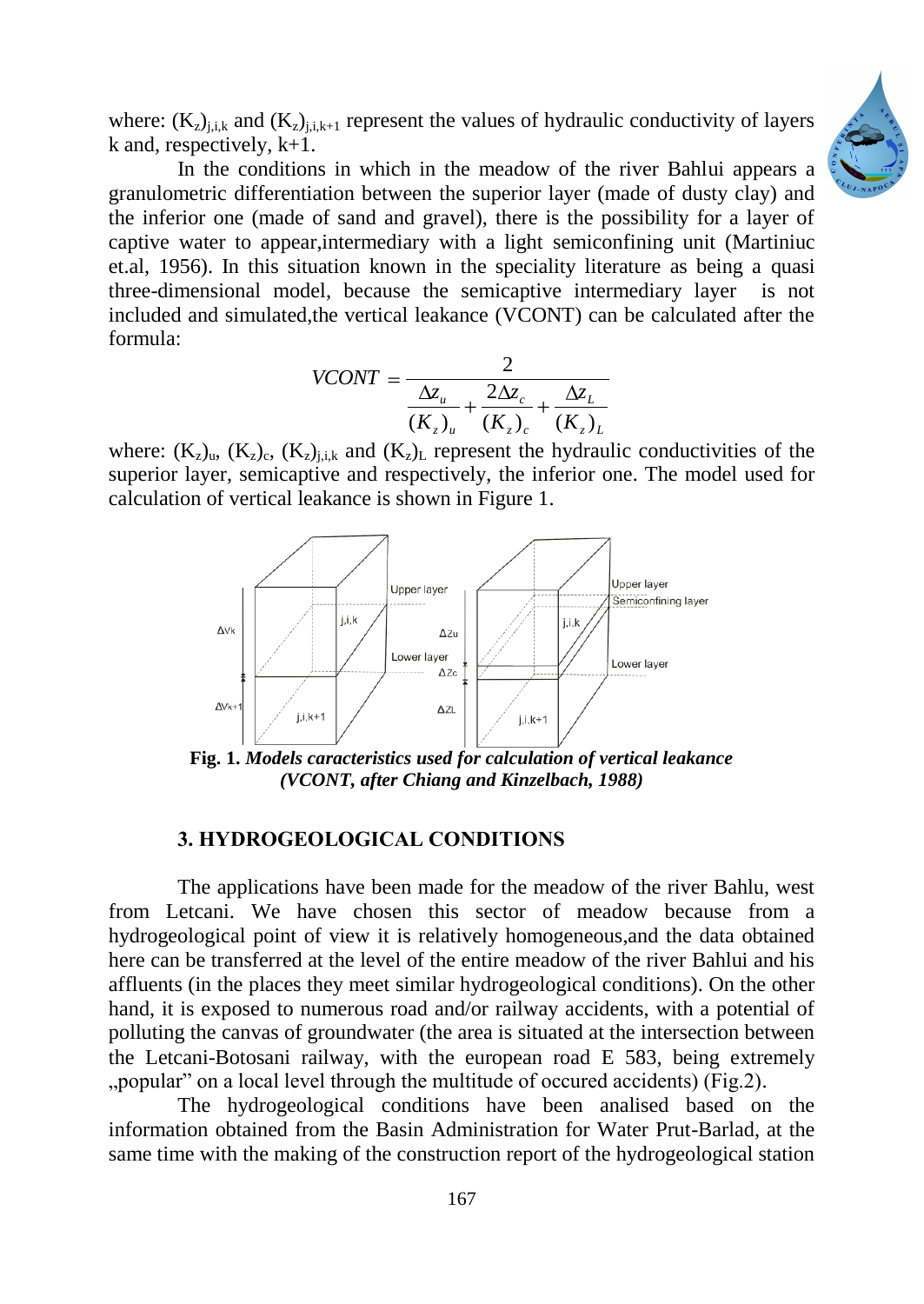

where:  $(K_z)_{i,k}$  and  $(K_z)_{i,k+1}$  represent the values of hydraulic conductivity of layers k and, respectively, k+1.

In the conditions in which in the meadow of the river Bahlui appears a granulometric differentiation between the superior layer (made of dusty clay) and the inferior one (made of sand and gravel), there is the possibility for a layer of captive water to appear,intermediary with a light semiconfining unit (Martiniuc et.al, 1956). In this situation known in the speciality literature as being a quasi three-dimensional model, because the semicaptive intermediary layer is not included and simulated,the vertical leakance (VCONT) can be calculated after the formula:

$$
VCONT = \frac{2}{\frac{\Delta z_u}{(K_z)_u} + \frac{2\Delta z_c}{(K_z)_c} + \frac{\Delta z_L}{(K_z)_L}}
$$

where:  $(K_z)_{u}$ ,  $(K_z)_{c}$ ,  $(K_z)_{j,i,k}$  and  $(K_z)_{L}$  represent the hydraulic conductivities of the superior layer, semicaptive and respectively, the inferior one. The model used for calculation of vertical leakance is shown in Figure 1.



**Fig. 1.** *Models caracteristics used for calculation of vertical leakance (VCONT, after Chiang and Kinzelbach, 1988)*

#### **3. HYDROGEOLOGICAL CONDITIONS**

The applications have been made for the meadow of the river Bahlu, west from Letcani. We have chosen this sector of meadow because from a hydrogeological point of view it is relatively homogeneous,and the data obtained here can be transferred at the level of the entire meadow of the river Bahlui and his affluents (in the places they meet similar hydrogeological conditions). On the other hand, it is exposed to numerous road and/or railway accidents, with a potential of polluting the canvas of groundwater (the area is situated at the intersection between the Letcani-Botosani railway, with the european road E 583, being extremely ...popular" on a local level through the multitude of occured accidents) (Fig. 2).

The hydrogeological conditions have been analised based on the information obtained from the Basin Administration for Water Prut-Barlad, at the same time with the making of the construction report of the hydrogeological station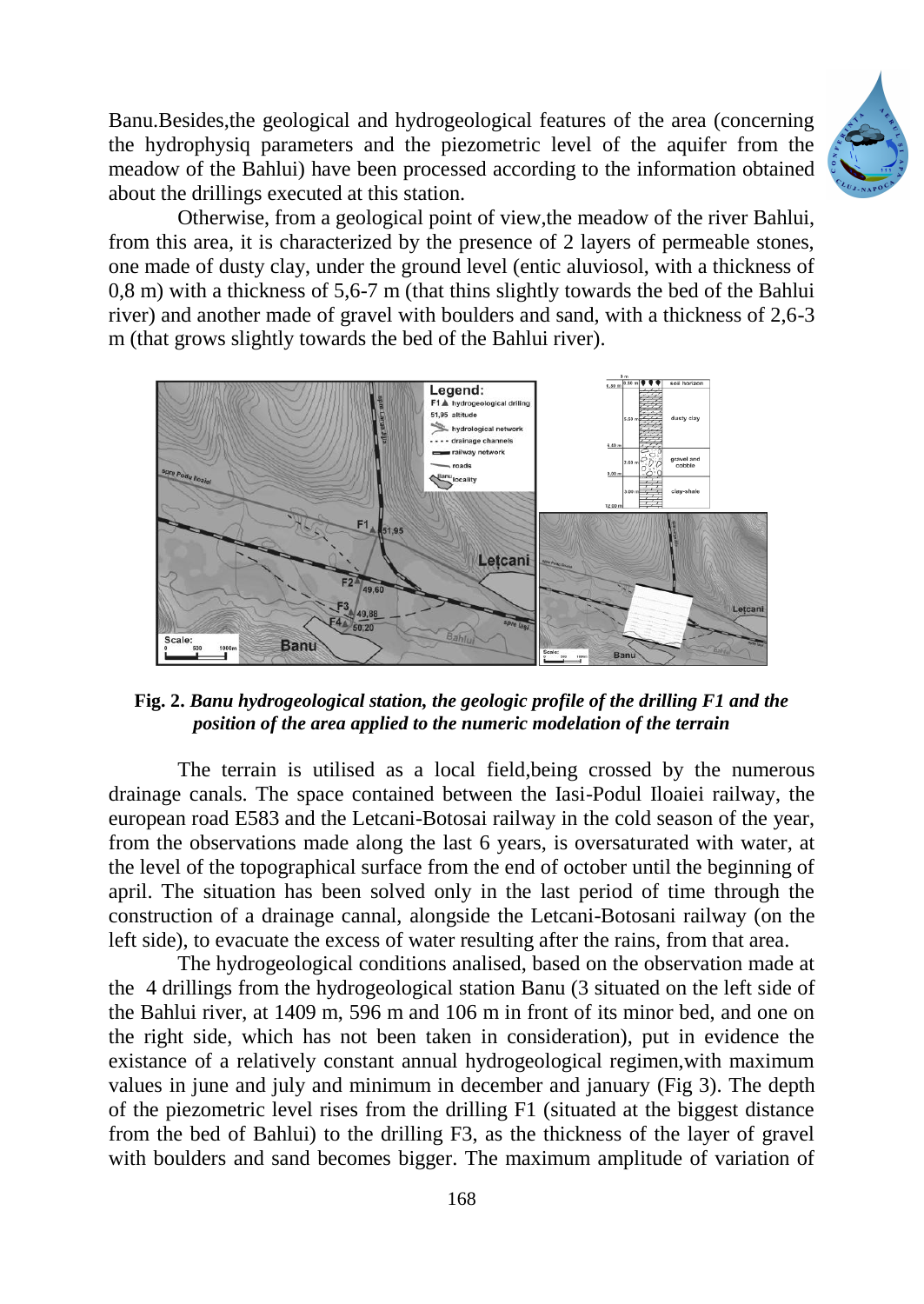Banu.Besides,the geological and hydrogeological features of the area (concerning the hydrophysiq parameters and the piezometric level of the aquifer from the meadow of the Bahlui) have been processed according to the information obtained about the drillings executed at this station.



Otherwise, from a geological point of view,the meadow of the river Bahlui, from this area, it is characterized by the presence of 2 layers of permeable stones, one made of dusty clay, under the ground level (entic aluviosol, with a thickness of 0,8 m) with a thickness of 5,6-7 m (that thins slightly towards the bed of the Bahlui river) and another made of gravel with boulders and sand, with a thickness of 2,6-3 m (that grows slightly towards the bed of the Bahlui river).



**Fig. 2.** *Banu hydrogeological station, the geologic profile of the drilling F1 and the position of the area applied to the numeric modelation of the terrain*

The terrain is utilised as a local field,being crossed by the numerous drainage canals. The space contained between the Iasi-Podul Iloaiei railway, the european road E583 and the Letcani-Botosai railway in the cold season of the year, from the observations made along the last 6 years, is oversaturated with water, at the level of the topographical surface from the end of october until the beginning of april. The situation has been solved only in the last period of time through the construction of a drainage cannal, alongside the Letcani-Botosani railway (on the left side), to evacuate the excess of water resulting after the rains, from that area.

The hydrogeological conditions analised, based on the observation made at the 4 drillings from the hydrogeological station Banu (3 situated on the left side of the Bahlui river, at 1409 m, 596 m and 106 m in front of its minor bed, and one on the right side, which has not been taken in consideration), put in evidence the existance of a relatively constant annual hydrogeological regimen,with maximum values in june and july and minimum in december and january (Fig 3). The depth of the piezometric level rises from the drilling F1 (situated at the biggest distance from the bed of Bahlui) to the drilling F3, as the thickness of the layer of gravel with boulders and sand becomes bigger. The maximum amplitude of variation of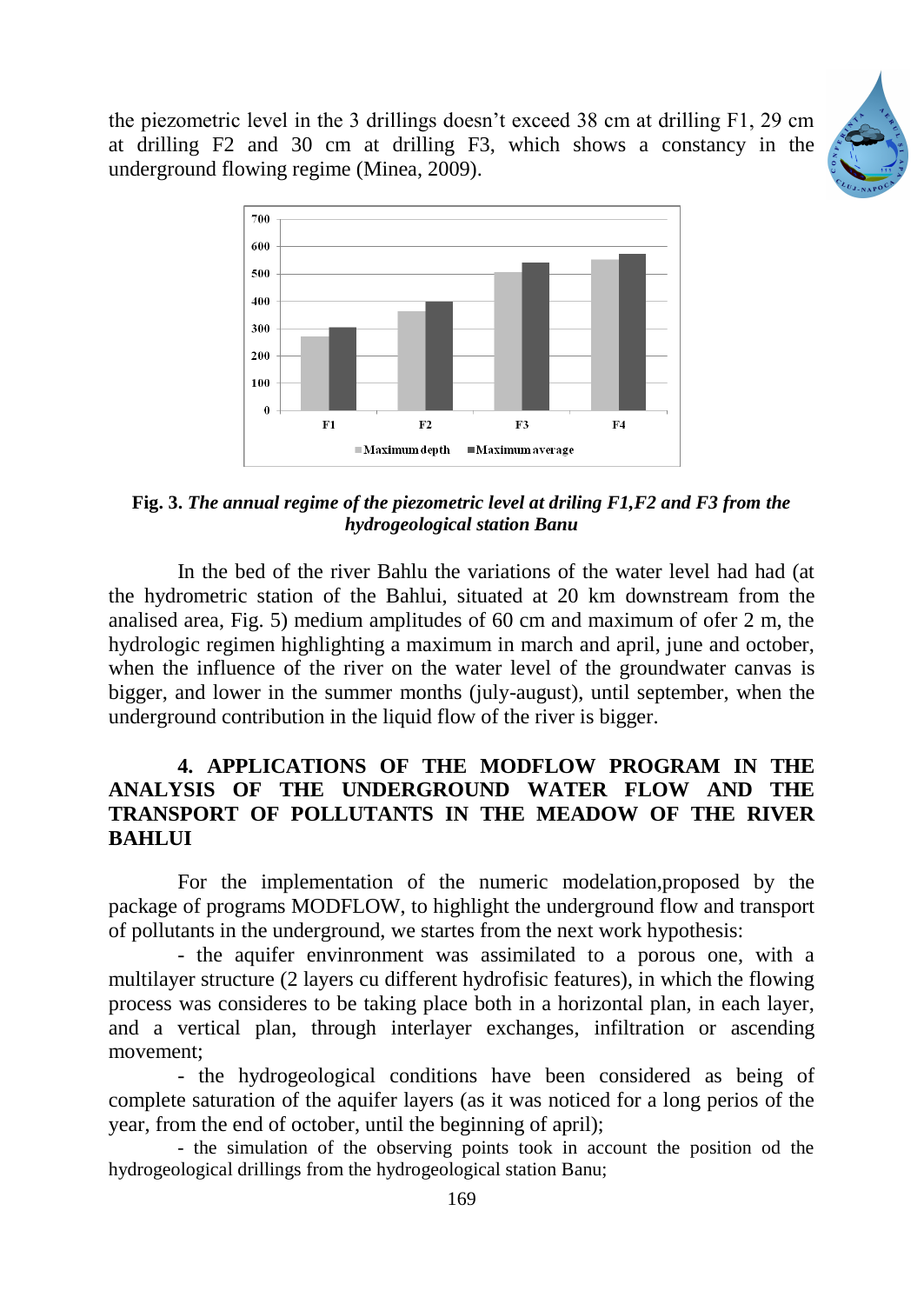the piezometric level in the 3 drillings doesn't exceed 38 cm at drilling F1, 29 cm at drilling F2 and 30 cm at drilling F3, which shows a constancy in the underground flowing regime (Minea, 2009).





**Fig. 3.** *The annual regime of the piezometric level at driling F1,F2 and F3 from the hydrogeological station Banu*

In the bed of the river Bahlu the variations of the water level had had (at the hydrometric station of the Bahlui, situated at 20 km downstream from the analised area, Fig. 5) medium amplitudes of 60 cm and maximum of ofer 2 m, the hydrologic regimen highlighting a maximum in march and april, june and october, when the influence of the river on the water level of the groundwater canvas is bigger, and lower in the summer months (july-august), until september, when the underground contribution in the liquid flow of the river is bigger.

### **4. APPLICATIONS OF THE MODFLOW PROGRAM IN THE ANALYSIS OF THE UNDERGROUND WATER FLOW AND THE TRANSPORT OF POLLUTANTS IN THE MEADOW OF THE RIVER BAHLUI**

For the implementation of the numeric modelation,proposed by the package of programs MODFLOW, to highlight the underground flow and transport of pollutants in the underground, we startes from the next work hypothesis:

- the aquifer envinronment was assimilated to a porous one, with a multilayer structure (2 layers cu different hydrofisic features), in which the flowing process was consideres to be taking place both in a horizontal plan, in each layer, and a vertical plan, through interlayer exchanges, infiltration or ascending movement;

- the hydrogeological conditions have been considered as being of complete saturation of the aquifer layers (as it was noticed for a long perios of the year, from the end of october, until the beginning of april);

- the simulation of the observing points took in account the position od the hydrogeological drillings from the hydrogeological station Banu;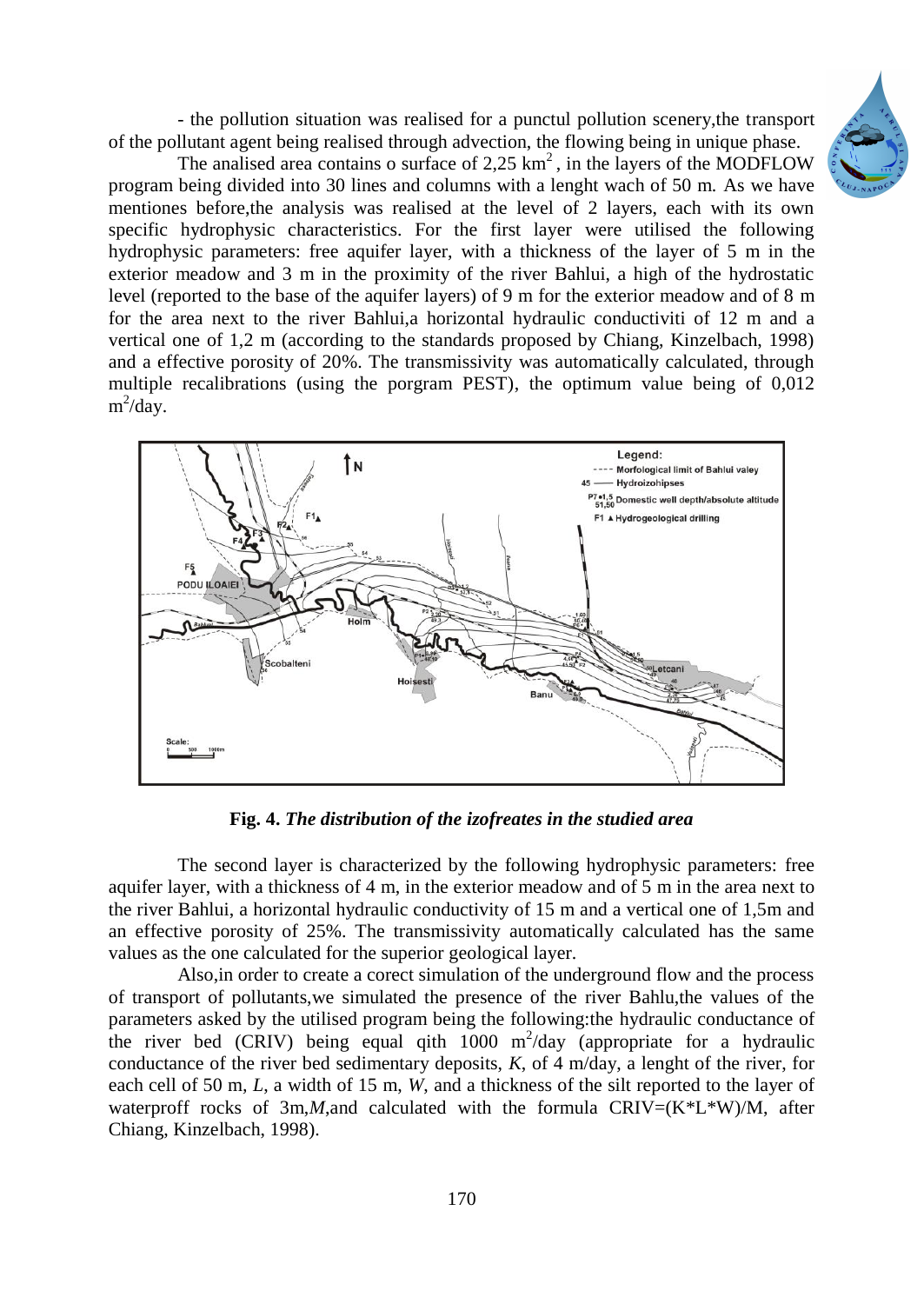- the pollution situation was realised for a punctul pollution scenery,the transport of the pollutant agent being realised through advection, the flowing being in unique phase.

The analised area contains o surface of 2.25  $km<sup>2</sup>$ , in the layers of the MODFLOW program being divided into 30 lines and columns with a lenght wach of 50 m. As we have mentiones before,the analysis was realised at the level of 2 layers, each with its own specific hydrophysic characteristics. For the first layer were utilised the following hydrophysic parameters: free aquifer layer, with a thickness of the layer of 5 m in the exterior meadow and 3 m in the proximity of the river Bahlui, a high of the hydrostatic level (reported to the base of the aquifer layers) of 9 m for the exterior meadow and of 8 m for the area next to the river Bahlui,a horizontal hydraulic conductiviti of 12 m and a vertical one of 1,2 m (according to the standards proposed by Chiang, Kinzelbach, 1998) and a effective porosity of 20%. The transmissivity was automatically calculated, through multiple recalibrations (using the porgram PEST), the optimum value being of 0,012 m<sup>2</sup>/day.



**Fig. 4.** *The distribution of the izofreates in the studied area*

The second layer is characterized by the following hydrophysic parameters: free aquifer layer, with a thickness of 4 m, in the exterior meadow and of 5 m in the area next to the river Bahlui, a horizontal hydraulic conductivity of 15 m and a vertical one of 1,5m and an effective porosity of 25%. The transmissivity automatically calculated has the same values as the one calculated for the superior geological layer.

Also,in order to create a corect simulation of the underground flow and the process of transport of pollutants,we simulated the presence of the river Bahlu,the values of the parameters asked by the utilised program being the following:the hydraulic conductance of the river bed (CRIV) being equal qith  $1000 \text{ m}^2/\text{day}$  (appropriate for a hydraulic conductance of the river bed sedimentary deposits, *K*, of 4 m/day, a lenght of the river, for each cell of 50 m*, L*, a width of 15 m, *W*, and a thickness of the silt reported to the layer of waterproff rocks of 3m,*M*,and calculated with the formula  $CRIV=(K*K*W)/M$ , after Chiang, Kinzelbach, 1998).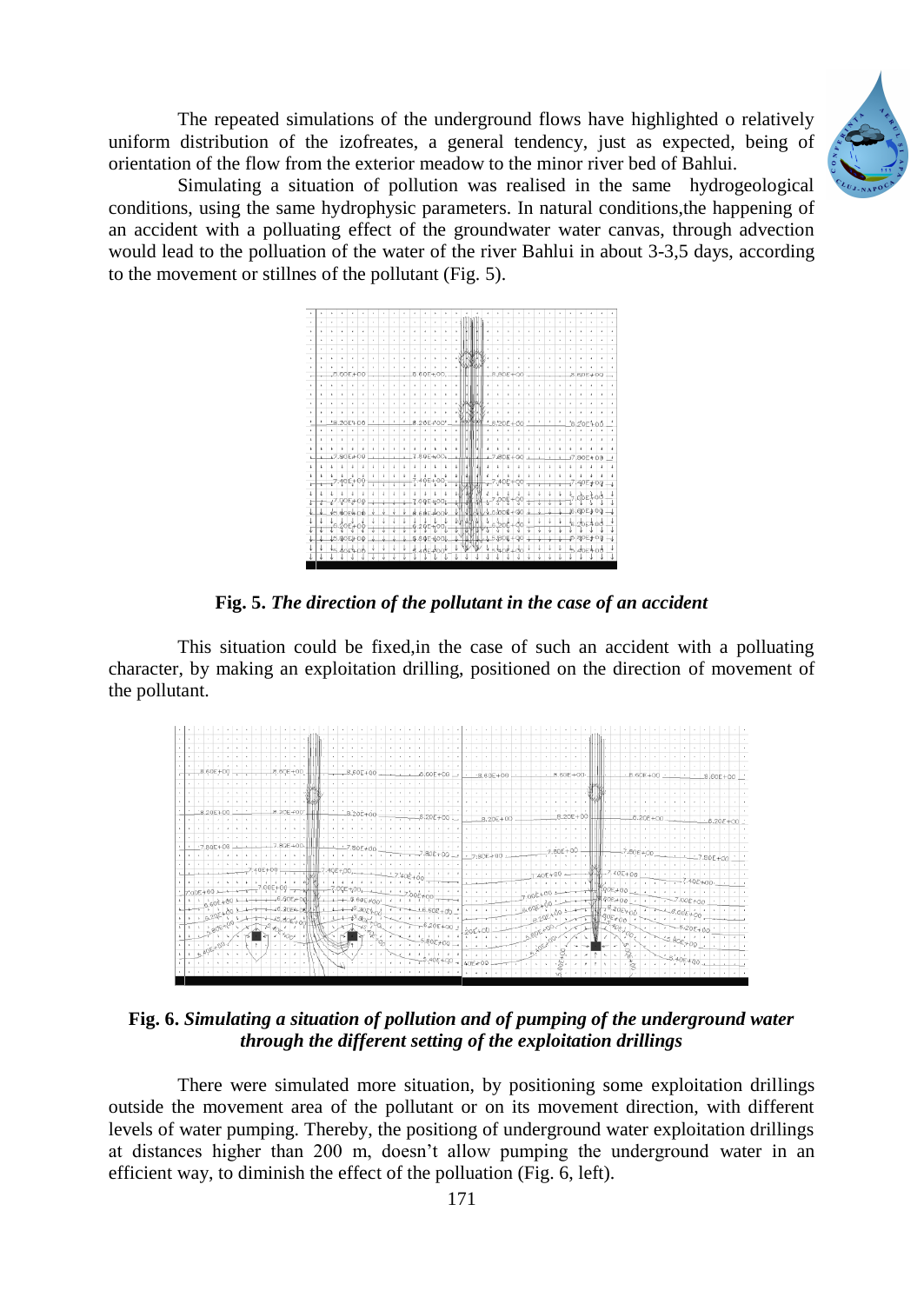The repeated simulations of the underground flows have highlighted o relatively uniform distribution of the izofreates, a general tendency, just as expected, being of orientation of the flow from the exterior meadow to the minor river bed of Bahlui.



Simulating a situation of pollution was realised in the same hydrogeological conditions, using the same hydrophysic parameters. In natural conditions,the happening of an accident with a polluating effect of the groundwater water canvas, through advection would lead to the polluation of the water of the river Bahlui in about 3-3,5 days, according to the movement or stillnes of the pollutant (Fig. 5).



**Fig. 5.** *The direction of the pollutant in the case of an accident* 

This situation could be fixed,in the case of such an accident with a polluating character, by making an exploitation drilling, positioned on the direction of movement of the pollutant.



**Fig. 6.** *Simulating a situation of pollution and of pumping of the underground water through the different setting of the exploitation drillings*

There were simulated more situation, by positioning some exploitation drillings outside the movement area of the pollutant or on its movement direction, with different levels of water pumping. Thereby, the positiong of underground water exploitation drillings at distances higher than 200 m, doesn't allow pumping the underground water in an efficient way, to diminish the effect of the polluation (Fig. 6, left).